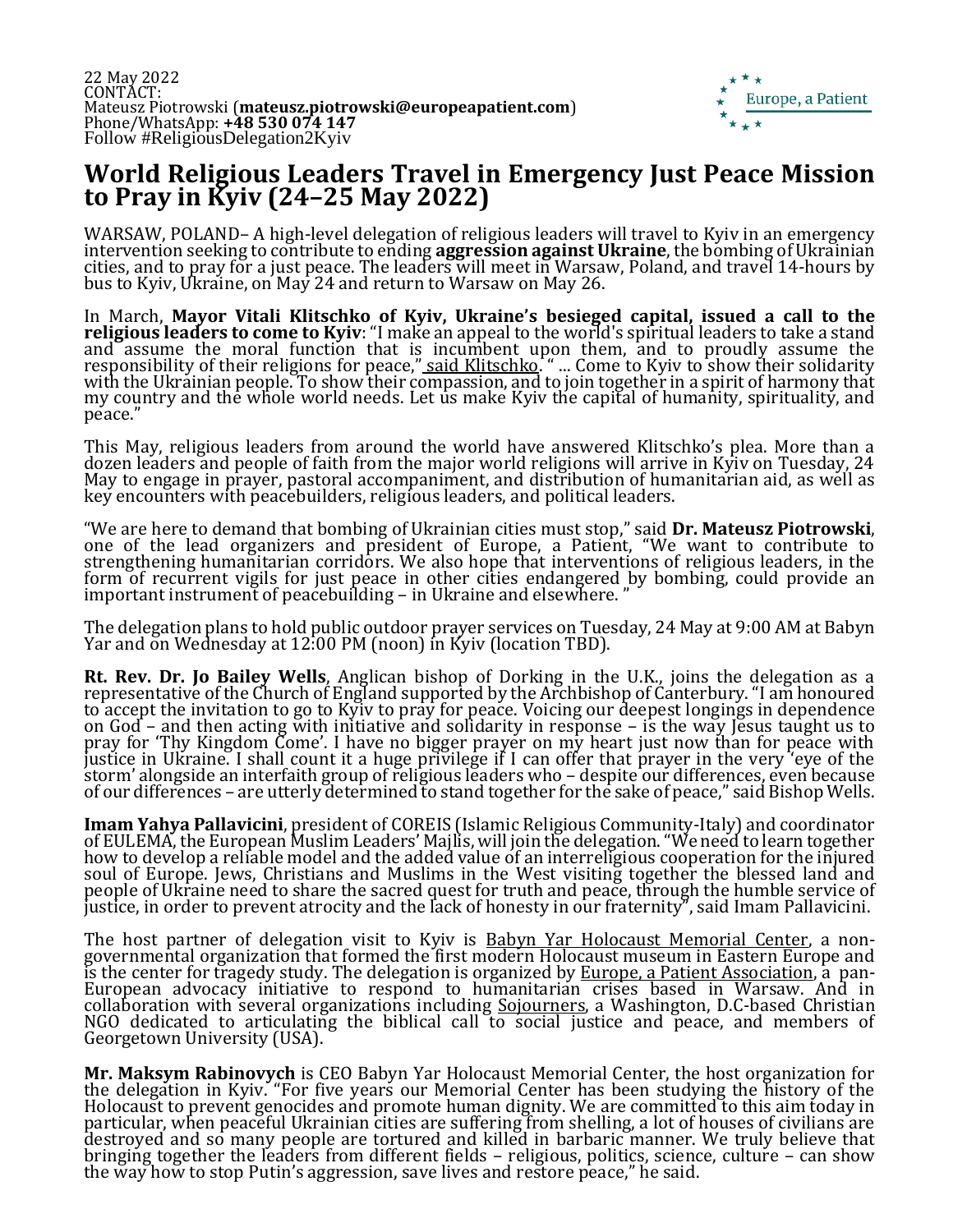

## **World Religious Leaders Travel in Emergency Just Peace Mission to Pray in Kyiv (24–25 May 2022)**

WARSAW, POLAND– A high-level delegation of religious leaders will travel to Kyiv in an emergency intervention seeking to contribute to ending **aggression against Ukraine**, the bombing of Ukrainian cities, and to pray for a just peace. The leaders will meet in Warsaw, Poland, and travel 14-hours by bus to Kyiv, Ukraine, on May 24 and return to Warsaw on May 26.

In March, **Mayor Vitali Klitschko of Kyiv, Ukraine's besieged capital, issued a call to the religious leaders to come to Kyiv**: "I make an appeal to the world's spiritual leaders to take a stand and assume the moral function that is incumbent upon them, and to proudly assume the responsibility of their religions for peace," <u>[said Klitschko](https://www.facebook.com/watch/?v=673481810637538).</u> " ... Come to Kyiv to show their solidarity with the Ukrainian people. To show their compassion, and to join together in a spirit of harmony that my country and the whole world needs. Let us make Kyiv the capital of humanity, spirituality, and peace."

This May, religious leaders from around the world have answered Klitschko's plea. More than a dozen leaders and people of faith from the major world religions will arrive in Kyiv on Tuesday, 24 May to engage in prayer, pastoral accompaniment, and distribution of humanitarian aid, as well as key encounters with peacebuilders, religious leaders, and political leaders.

"We are here to demand that bombing of Ukrainian cities must stop," said **Dr. Mateusz Piotrowski**, one of the lead organizers and president of Europe, a Patient, "We want to contribute to strengthening humanitarian corridors. We also hope that interventions of religious leaders, in the form of recurrent vigils for just peace in other cities endangered by bombing, could provide an important instrument of peacebuilding – in Ukraine and elsewhere. "

The delegation plans to hold public outdoor prayer services on Tuesday, 24 May at 9:00 AM at Babyn Yar and on Wednesday at 12:00 PM (noon) in Kyiv (location TBD).

**Rt. Rev. Dr. Jo Bailey Wells**, Anglican bishop of Dorking in the U.K., joins the delegation as a representative of the Church of England supported by the Archbishop of Canterbury. "I am honoured to accept the invitation to go to Kyiv to pray for peace. Voicing our deepest longings in dependence on God – and then acting with initiative and solidarity in response – is the way Jesus taught us to pray for 'Thy Kingdom Come'. I have no bigger prayer on my heart just now than for peace with justice in Ukraine. I shall count it a huge privilege if I can offer that prayer in the very 'eye of the storm' alongside an interfaith group of religious leaders who – despite our differences, even because of our differences – are utterly determined to stand together for the sake of peace," said Bishop Wells.

**Imam Yahya Pallavicini**, president of COREIS (Islamic Religious Community-Italy) and coordinator of EULEMA, the European Muslim Leaders' Majlis, will join the delegation. "We need to learn together how to develop a reliable model and the added value of an interreligious cooperation for the injured soul of Europe. Jews, Christians and Muslims in the West visiting together the blessed land and people of Ukraine need to share the sacred quest for truth and peace, through the humble service of justice, in order to prevent atrocity and the lack of honesty in our fraternity", said Imam Pallavicini.

The host partner of delegation visit to Kyiv is **Babyn Yar Holocaust Memorial Center**, a nongovernmental organization that formed the first modern Holocaust museum in Eastern Europe and is the center for tragedy study. The delegation is organized by [Europe, a Patient Association,](https://www.europeapatient.com/) a pan-European advocacy initiative to respond to humanitarian crises based in Warsaw. And in collaboration with several organizations including [Sojourners,](https://sojo.net/join/campaigns/nonviolence-and-peace) a Washington, D.C-based Christian NGO dedicated to articulating the biblical call to social justice and peace, and members of Georgetown University (USA).

**Mr. Maksym Rabinovych** is CEO Babyn Yar Holocaust Memorial Center, the host organization for the delegation in Kyiv. "For five years our Memorial Center has been studying the history of the Holocaust to prevent genocides and promote human dignity. We are committed to this aim today in particular, when peaceful Ukrainian cities are suffering from shelling, a lot of houses of civilians are destroyed and so many people are tortured and killed in barbaric manner. We truly believe that bringing together the leaders from different fields – religious, politics, science, culture – can show the way how to stop Putin's aggression, save lives and restore peace," he said.